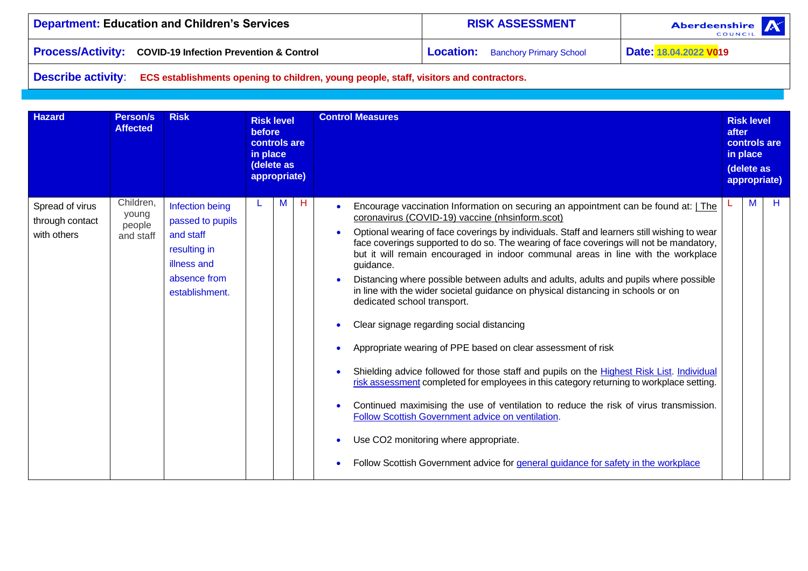| Department: Education and Children's Services                        | <b>RISK ASSESSMENT</b>                   | <b>Aberdeenshire</b><br><b>COUNCIL</b> |
|----------------------------------------------------------------------|------------------------------------------|----------------------------------------|
| <b>Process/Activity: COVID-19 Infection Prevention &amp; Control</b> | <b>Location:</b> Banchory Primary School | Date: 18.04.2022 V019                  |

**Describe activity**: **ECS establishments opening to children, young people, staff, visitors and contractors.**

| <b>Hazard</b>                                     | <b>Person/s</b><br><b>Affected</b>        | <b>Risk</b>                                                                                                       | <b>Risk level</b><br>before<br>controls are<br>in place<br>(delete as<br>appropriate) |   |   | <b>Control Measures</b>                                                                                                                                                                                                                                                                                                                                                                                                                                                                                                                                                                                                                                                                                                                                                                                                                                                                                                                                                                                                                                                                                                                                                                                                                      |  |   | <b>Risk level</b><br>controls are<br>in place<br>(delete as<br>appropriate) |
|---------------------------------------------------|-------------------------------------------|-------------------------------------------------------------------------------------------------------------------|---------------------------------------------------------------------------------------|---|---|----------------------------------------------------------------------------------------------------------------------------------------------------------------------------------------------------------------------------------------------------------------------------------------------------------------------------------------------------------------------------------------------------------------------------------------------------------------------------------------------------------------------------------------------------------------------------------------------------------------------------------------------------------------------------------------------------------------------------------------------------------------------------------------------------------------------------------------------------------------------------------------------------------------------------------------------------------------------------------------------------------------------------------------------------------------------------------------------------------------------------------------------------------------------------------------------------------------------------------------------|--|---|-----------------------------------------------------------------------------|
| Spread of virus<br>through contact<br>with others | Children,<br>young<br>people<br>and staff | Infection being<br>passed to pupils<br>and staff<br>resulting in<br>illness and<br>absence from<br>establishment. |                                                                                       | М | Н | Encourage vaccination Information on securing an appointment can be found at: The<br>$\bullet$<br>coronavirus (COVID-19) vaccine (nhsinform.scot)<br>Optional wearing of face coverings by individuals. Staff and learners still wishing to wear<br>face coverings supported to do so. The wearing of face coverings will not be mandatory,<br>but it will remain encouraged in indoor communal areas in line with the workplace<br>guidance.<br>Distancing where possible between adults and adults, adults and pupils where possible<br>in line with the wider societal guidance on physical distancing in schools or on<br>dedicated school transport.<br>Clear signage regarding social distancing<br>Appropriate wearing of PPE based on clear assessment of risk<br>Shielding advice followed for those staff and pupils on the Highest Risk List. Individual<br>risk assessment completed for employees in this category returning to workplace setting.<br>Continued maximising the use of ventilation to reduce the risk of virus transmission.<br>Follow Scottish Government advice on ventilation.<br>Use CO2 monitoring where appropriate.<br>Follow Scottish Government advice for general guidance for safety in the workplace |  | M | н                                                                           |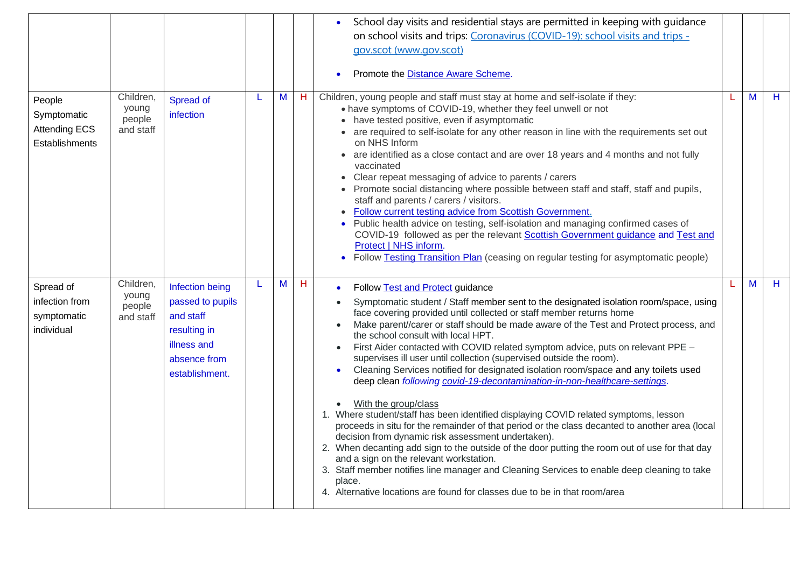|                                                                 |                                           |                                                                                                                   |   |   |             | School day visits and residential stays are permitted in keeping with quidance<br>on school visits and trips: Coronavirus (COVID-19): school visits and trips -<br>gov.scot (www.gov.scot)<br>Promote the <b>Distance Aware Scheme</b> .                                                                                                                                                                                                                                                                                                                                                                                                                                                                                                                                                                                                                                                                                                                                                                                                                                                                                                                                                                                                                                               |   |   |
|-----------------------------------------------------------------|-------------------------------------------|-------------------------------------------------------------------------------------------------------------------|---|---|-------------|----------------------------------------------------------------------------------------------------------------------------------------------------------------------------------------------------------------------------------------------------------------------------------------------------------------------------------------------------------------------------------------------------------------------------------------------------------------------------------------------------------------------------------------------------------------------------------------------------------------------------------------------------------------------------------------------------------------------------------------------------------------------------------------------------------------------------------------------------------------------------------------------------------------------------------------------------------------------------------------------------------------------------------------------------------------------------------------------------------------------------------------------------------------------------------------------------------------------------------------------------------------------------------------|---|---|
| People<br>Symptomatic<br><b>Attending ECS</b><br>Establishments | Children,<br>young<br>people<br>and staff | Spread of<br>infection                                                                                            |   | M | $H_{\odot}$ | Children, young people and staff must stay at home and self-isolate if they:<br>• have symptoms of COVID-19, whether they feel unwell or not<br>• have tested positive, even if asymptomatic<br>• are required to self-isolate for any other reason in line with the requirements set out<br>on NHS Inform<br>• are identified as a close contact and are over 18 years and 4 months and not fully<br>vaccinated<br>Clear repeat messaging of advice to parents / carers<br>• Promote social distancing where possible between staff and staff, staff and pupils,<br>staff and parents / carers / visitors.<br>Follow current testing advice from Scottish Government.<br>• Public health advice on testing, self-isolation and managing confirmed cases of<br>COVID-19 followed as per the relevant Scottish Government guidance and Test and<br>Protect   NHS inform.<br>• Follow Testing Transition Plan (ceasing on regular testing for asymptomatic people)                                                                                                                                                                                                                                                                                                                       | M | н |
| Spread of<br>infection from<br>symptomatic<br>individual        | Children,<br>young<br>people<br>and staff | Infection being<br>passed to pupils<br>and staff<br>resulting in<br>illness and<br>absence from<br>establishment. | L | M | H           | Follow Test and Protect guidance<br>Symptomatic student / Staff member sent to the designated isolation room/space, using<br>face covering provided until collected or staff member returns home<br>Make parent//carer or staff should be made aware of the Test and Protect process, and<br>the school consult with local HPT.<br>First Aider contacted with COVID related symptom advice, puts on relevant PPE -<br>supervises ill user until collection (supervised outside the room).<br>Cleaning Services notified for designated isolation room/space and any toilets used<br>deep clean following covid-19-decontamination-in-non-healthcare-settings.<br>With the group/class<br>$\bullet$<br>1. Where student/staff has been identified displaying COVID related symptoms, lesson<br>proceeds in situ for the remainder of that period or the class decanted to another area (local<br>decision from dynamic risk assessment undertaken).<br>2. When decanting add sign to the outside of the door putting the room out of use for that day<br>and a sign on the relevant workstation.<br>3. Staff member notifies line manager and Cleaning Services to enable deep cleaning to take<br>place.<br>4. Alternative locations are found for classes due to be in that room/area | M | H |